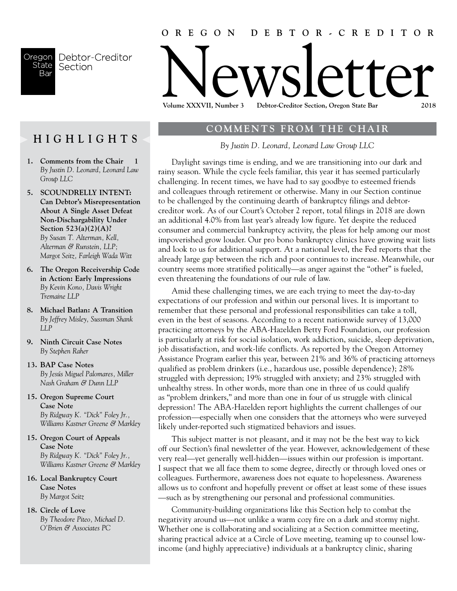### **OREGON DEBTOR-CREDITOR**

Newsletter

Debtor-Creditor Oregon **State** Section Bar

# **HIGHLIGHTS**

- **1. Comments from the Chair 1** *By Justin D. Leonard, Leonard Law Group LLC*
- **5. [SCOUNDRELLY INTENT:](#page-4-0) [Can Debtor's Misrepresentation](#page-4-0) [About A Single Asset Defeat](#page-4-0) [Non-Dischargability Under](#page-4-0) [Section 523\(a\)\(2\)\(A\)?](#page-4-0)** *[By Susan T. Alterman, Kell,](#page-4-0) [Alterman & Runstein, LLP;](#page-4-0) [Margot Seitz, Farleigh Wada Witt](#page-4-0)*
- **6. [The Oregon Receivership Code](#page-5-0) [in Action: Early Impressions](#page-5-0)** *[By Kevin Kono, Davis Wright](#page-5-0) [Tremaine LLP](#page-5-0)*
- **8. [Michael Batlan: A Transition](#page-7-0)** *B[y Jeffrey Misley, Sussman Shank](#page-7-0) [LLP](#page-7-0)*
- **9. [Ninth Circuit Case Notes](#page-7-0)** *[By Stephen Raher](#page-7-0)*
- **13. [BAP Case Notes](#page-12-0)** *[By Jesús Miguel Palomares, Miller](#page-12-0) [Nash Graham & Dunn LLP](#page-12-0)*
- **15. [Oregon Supreme Court](#page-14-0) [Case Note](#page-14-0)** *[By Ridgway K. "Dick" Foley Jr.,](#page-14-0) [Williams Kastner Greene & Markley](#page-14-0)*
- **15. [Oregon Court of Appeals](#page-14-0) [Case Note](#page-14-0)** *[By Ridgway K. "Dick" Foley Jr.,](#page-14-0) [Williams Kastner Greene & Markley](#page-14-0)*
- **16. [Local Bankruptcy Court](#page-15-0) Case Notes** *By Margot Seitz*

## **18. [Circle of Love](#page-17-0)**

*[By Theodore Piteo, Michael D.](#page-17-0) [O'Brien & Associates PC](#page-17-0)*

### **COMMENTS FROM THE CHAIR**

**Volume XXXVII, Number 3 Debtor-Creditor Section, Oregon State Bar 2018**

*By Justin D. Leonard, Leonard Law Group LLC*

Daylight savings time is ending, and we are transitioning into our dark and rainy season. While the cycle feels familiar, this year it has seemed particularly challenging. In recent times, we have had to say goodbye to esteemed friends and colleagues through retirement or otherwise. Many in our Section continue to be challenged by the continuing dearth of bankruptcy filings and debtorcreditor work. As of our Court's October 2 report, total filings in 2018 are down an additional 4.0% from last year's already low figure. Yet despite the reduced consumer and commercial bankruptcy activity, the pleas for help among our most impoverished grow louder. Our pro bono bankruptcy clinics have growing wait lists and look to us for additional support. At a national level, the Fed reports that the already large gap between the rich and poor continues to increase. Meanwhile, our country seems more stratified politically—as anger against the "other" is fueled, even threatening the foundations of our rule of law.

Amid these challenging times, we are each trying to meet the day-to-day expectations of our profession and within our personal lives. It is important to remember that these personal and professional responsibilities can take a toll, even in the best of seasons. According to a recent nationwide survey of 13,000 practicing attorneys by the ABA-Hazelden Betty Ford Foundation, our profession is particularly at risk for social isolation, work addiction, suicide, sleep deprivation, job dissatisfaction, and work-life conflicts. As reported by the Oregon Attorney Assistance Program earlier this year, between 21% and 36% of practicing attorneys qualified as problem drinkers (i.e., hazardous use, possible dependence); 28% struggled with depression; 19% struggled with anxiety; and 23% struggled with unhealthy stress. In other words, more than one in three of us could qualify as "problem drinkers," and more than one in four of us struggle with clinical depression! The ABA-Hazelden report highlights the current challenges of our profession—especially when one considers that the attorneys who were surveyed likely under-reported such stigmatized behaviors and issues.

This subject matter is not pleasant, and it may not be the best way to kick off our Section's final newsletter of the year. However, acknowledgement of these very real—yet generally well-hidden—issues within our profession is important. I suspect that we all face them to some degree, directly or through loved ones or colleagues. Furthermore, awareness does not equate to hopelessness. Awareness allows us to confront and hopefully prevent or offset at least some of these issues —such as by strengthening our personal and professional communities.

Community-building organizations like this Section help to combat the negativity around us—not unlike a warm cozy fire on a dark and stormy night. Whether one is collaborating and socializing at a Section committee meeting, sharing practical advice at a Circle of Love meeting, teaming up to counsel lowincome (and highly appreciative) individuals at a bankruptcy clinic, sharing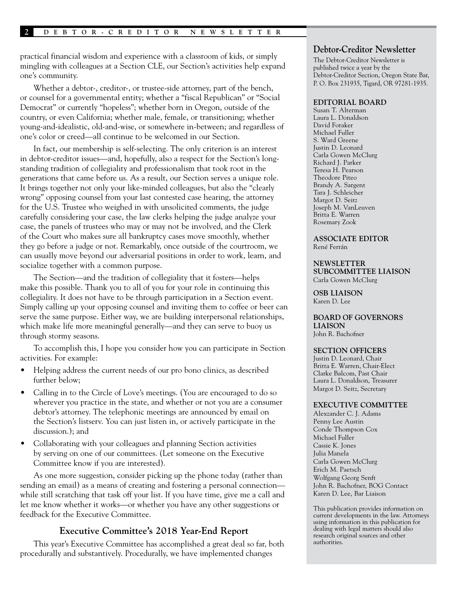practical financial wisdom and experience with a classroom of kids, or simply mingling with colleagues at a Section CLE, our Section's activities help expand one's community.

Whether a debtor-, creditor-, or trustee-side attorney, part of the bench, or counsel for a governmental entity; whether a "fiscal Republican" or "Social Democrat" or currently "hopeless"; whether born in Oregon, outside of the country, or even California; whether male, female, or transitioning; whether young-and-idealistic, old-and-wise, or somewhere in-between; and regardless of one's color or creed—all continue to be welcomed in our Section.

In fact, our membership is self-selecting. The only criterion is an interest in debtor-creditor issues—and, hopefully, also a respect for the Section's longstanding tradition of collegiality and professionalism that took root in the generations that came before us. As a result, our Section serves a unique role. It brings together not only your like-minded colleagues, but also the "clearly wrong" opposing counsel from your last contested case hearing, the attorney for the U.S. Trustee who weighed in with unsolicited comments, the judge carefully considering your case, the law clerks helping the judge analyze your case, the panels of trustees who may or may not be involved, and the Clerk of the Court who makes sure all bankruptcy cases move smoothly, whether they go before a judge or not. Remarkably, once outside of the courtroom, we can usually move beyond our adversarial positions in order to work, learn, and socialize together with a common purpose.

The Section—and the tradition of collegiality that it fosters—helps make this possible. Thank you to all of you for your role in continuing this collegiality. It does not have to be through participation in a Section event. Simply calling up your opposing counsel and inviting them to coffee or beer can serve the same purpose. Either way, we are building interpersonal relationships, which make life more meaningful generally—and they can serve to buoy us through stormy seasons.

To accomplish this, I hope you consider how you can participate in Section activities. For example:

- Helping address the current needs of our pro bono clinics, as described further below;
- Calling in to the Circle of Love's meetings. (You are encouraged to do so wherever you practice in the state, and whether or not you are a consumer debtor's attorney. The telephonic meetings are announced by email on the Section's listserv. You can just listen in, or actively participate in the discussion.); and
- Collaborating with your colleagues and planning Section activities by serving on one of our committees. (Let someone on the Executive Committee know if you are interested).

As one more suggestion, consider picking up the phone today (rather than sending an email) as a means of creating and fostering a personal connection while still scratching that task off your list. If you have time, give me a call and let me know whether it works—or whether you have any other suggestions or feedback for the Executive Committee.

#### **Executive Committee's 2018 Year-End Report**

This year's Executive Committee has accomplished a great deal so far, both procedurally and substantively. Procedurally, we have implemented changes

### **Debtor-Creditor Newsletter**

The Debtor-Creditor Newsletter is published twice a year by the Debtor-Creditor Section, Oregon State Bar, P. O. Box 231935, Tigard, OR 97281-1935.

#### **EDITORIAL BOARD**

Susan T. Alterman Laura L. Donaldson David Foraker Michael Fuller S. Ward Greene Justin D. Leonard Carla Gowen McClurg Richard J. Parker Teresa H. Pearson Theodore Piteo Brandy A. Sargent Tara J. Schleicher Margot D. Seitz Joseph M. VanLeuven Britta E. Warren Rosemary Zook

### **ASSOCIATE EDITOR**

René Ferrán

#### **NEWSLETTER**

**SUBCOMMITTEE LIAISON** Carla Gowen McClurg

**OSB LIAISON** Karen D. Lee

#### **BOARD OF GOVERNORS LIAISON** John R. Bachofner

#### **SECTION OFFICERS**

Justin D. Leonard, Chair Britta E. Warren, Chair-Elect Clarke Balcom, Past Chair Laura L. Donaldson, Treasurer Margot D. Seitz, Secretary

#### **EXECUTIVE COMMITTEE**

Alexzander C. J. Adams Penny Lee Austin Conde Thompson Cox Michael Fuller Cassie K. Jones Julia Manela Carla Gowen McClurg Erich M. Paetsch Wolfgang Georg Senft John R. Bachofner, BOG Contact Karen D. Lee, Bar Liaison

This publication provides information on current developments in the law. Attorneys using information in this publication for dealing with legal matters should also research original sources and other authorities.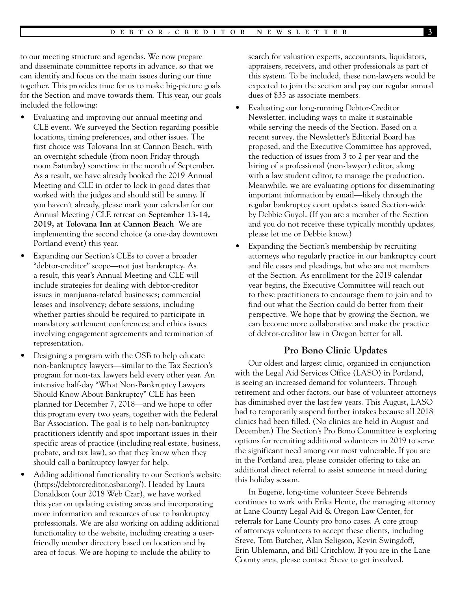to our meeting structure and agendas. We now prepare and disseminate committee reports in advance, so that we can identify and focus on the main issues during our time together. This provides time for us to make big-picture goals for the Section and move towards them. This year, our goals included the following:

- Evaluating and improving our annual meeting and CLE event. We surveyed the Section regarding possible locations, timing preferences, and other issues. The first choice was Tolovana Inn at Cannon Beach, with an overnight schedule (from noon Friday through noon Saturday) sometime in the month of September. As a result, we have already booked the 2019 Annual Meeting and CLE in order to lock in good dates that worked with the judges and should still be sunny. If you haven't already, please mark your calendar for our Annual Meeting / CLE retreat on **September 13-14, 2019, at Tolovana Inn at Cannon Beach**. We are implementing the second choice (a one-day downtown Portland event) this year.
- Expanding our Section's CLEs to cover a broader "debtor-creditor" scope—not just bankruptcy. As a result, this year's Annual Meeting and CLE will include strategies for dealing with debtor-creditor issues in marijuana-related businesses; commercial leases and insolvency; debate sessions, including whether parties should be required to participate in mandatory settlement conferences; and ethics issues involving engagement agreements and termination of representation.
- Designing a program with the OSB to help educate non-bankruptcy lawyers—similar to the Tax Section's program for non-tax lawyers held every other year. An intensive half-day "What Non-Bankruptcy Lawyers Should Know About Bankruptcy" CLE has been planned for December 7, 2018—and we hope to offer this program every two years, together with the Federal Bar Association. The goal is to help non-bankruptcy practitioners identify and spot important issues in their specific areas of practice (including real estate, business, probate, and tax law), so that they know when they should call a bankruptcy lawyer for help.
- Adding additional functionality to our Section's website (https://debtorcreditor.osbar.org/). Headed by Laura Donaldson (our 2018 Web Czar), we have worked this year on updating existing areas and incorporating more information and resources of use to bankruptcy professionals. We are also working on adding additional functionality to the website, including creating a userfriendly member directory based on location and by area of focus. We are hoping to include the ability to

search for valuation experts, accountants, liquidators, appraisers, receivers, and other professionals as part of this system. To be included, these non-lawyers would be expected to join the section and pay our regular annual dues of \$35 as associate members.

- Evaluating our long-running Debtor-Creditor Newsletter, including ways to make it sustainable while serving the needs of the Section. Based on a recent survey, the Newsletter's Editorial Board has proposed, and the Executive Committee has approved, the reduction of issues from 3 to 2 per year and the hiring of a professional (non-lawyer) editor, along with a law student editor, to manage the production. Meanwhile, we are evaluating options for disseminating important information by email—likely through the regular bankruptcy court updates issued Section-wide by Debbie Guyol. (If you are a member of the Section and you do not receive these typically monthly updates, please let me or Debbie know.)
- Expanding the Section's membership by recruiting attorneys who regularly practice in our bankruptcy court and file cases and pleadings, but who are not members of the Section. As enrollment for the 2019 calendar year begins, the Executive Committee will reach out to these practitioners to encourage them to join and to find out what the Section could do better from their perspective. We hope that by growing the Section, we can become more collaborative and make the practice of debtor-creditor law in Oregon better for all.

### **Pro Bono Clinic Updates**

Our oldest and largest clinic, organized in conjunction with the Legal Aid Services Office (LASO) in Portland, is seeing an increased demand for volunteers. Through retirement and other factors, our base of volunteer attorneys has diminished over the last few years. This August, LASO had to temporarily suspend further intakes because all 2018 clinics had been filled. (No clinics are held in August and December.) The Section's Pro Bono Committee is exploring options for recruiting additional volunteers in 2019 to serve the significant need among our most vulnerable. If you are in the Portland area, please consider offering to take an additional direct referral to assist someone in need during this holiday season.

In Eugene, long-time volunteer Steve Behrends continues to work with Erika Hente, the managing attorney at Lane County Legal Aid & Oregon Law Center, for referrals for Lane County pro bono cases. A core group of attorneys volunteers to accept these clients, including Steve, Tom Butcher, Alan Seligson, Kevin Swingdoff, Erin Uhlemann, and Bill Critchlow. If you are in the Lane County area, please contact Steve to get involved.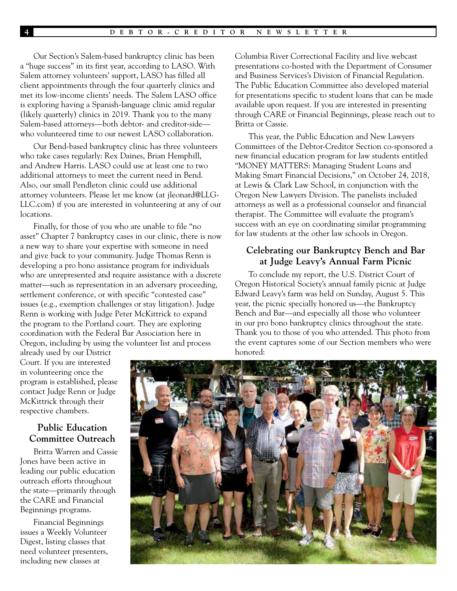Our Section's Salem-based bankruptcy clinic has been a "huge success" in its first year, according to LASO. With Salem attorney volunteers' support, LASO has filled all client appointments through the four quarterly clinics and met its low-income clients' needs. The Salem LASO office is exploring having a Spanish-language clinic amid regular (likely quarterly) clinics in 2019. Thank you to the many Salem-based attorneys—both debtor- and creditor-side who volunteered time to our newest LASO collaboration.

Our Bend-based bankruptcy clinic has three volunteers who take cases regularly: Rex Daines, Brian Hemphill, and Andrew Harris. LASO could use at least one to two additional attorneys to meet the current need in Bend. Also, our small Pendleton clinic could use additional attorney volunteers. Please let me know (at jleonard@LLG-LLC.com) if you are interested in volunteering at any of our locations.

Finally, for those of you who are unable to file "no asset" Chapter 7 bankruptcy cases in our clinic, there is now a new way to share your expertise with someone in need and give back to your community. Judge Thomas Renn is developing a pro bono assistance program for individuals who are unrepresented and require assistance with a discrete matter—such as representation in an adversary proceeding, settlement conference, or with specific "contested case" issues (e.g., exemption challenges or stay litigation). Judge Renn is working with Judge Peter McKittrick to expand the program to the Portland court. They are exploring coordination with the Federal Bar Association here in Oregon, including by using the volunteer list and process

Columbia River Correctional Facility and live webcast presentations co-hosted with the Department of Consumer and Business Services's Division of Financial Regulation. The Public Education Committee also developed material for presentations specific to student loans that can be made available upon request. If you are interested in presenting through CARE or Financial Beginnings, please reach out to Britta or Cassie.

This year, the Public Education and New Lawyers Committees of the Debtor-Creditor Section co-sponsored a new financial education program for law students entitled "MONEY MATTERS: Managing Student Loans and Making Smart Financial Decisions," on October 24, 2018, at Lewis & Clark Law School, in conjunction with the Oregon New Lawyers Division. The panelists included attorneys as well as a professional counselor and financial therapist. The Committee will evaluate the program's success with an eye on coordinating similar programming for law students at the other law schools in Oregon.

## **Celebrating our Bankruptcy Bench and Bar at Judge Leavy's Annual Farm Picnic**

To conclude my report, the U.S. District Court of Oregon Historical Society's annual family picnic at Judge Edward Leavy's farm was held on Sunday, August 5. This year, the picnic specially honored us—the Bankruptcy Bench and Bar—and especially all those who volunteer in our pro bono bankruptcy clinics throughout the state. Thank you to those of you who attended. This photo from the event captures some of our Section members who were honored:

already used by our District Court. If you are interested in volunteering once the program is established, please contact Judge Renn or Judge McKittrick through their respective chambers.

## **Public Education Committee Outreach**

Britta Warren and Cassie Jones have been active in leading our public education outreach efforts throughout the state—primarily through the CARE and Financial Beginnings programs.

Financial Beginnings issues a Weekly Volunteer Digest, listing classes that need volunteer presenters, including new classes at

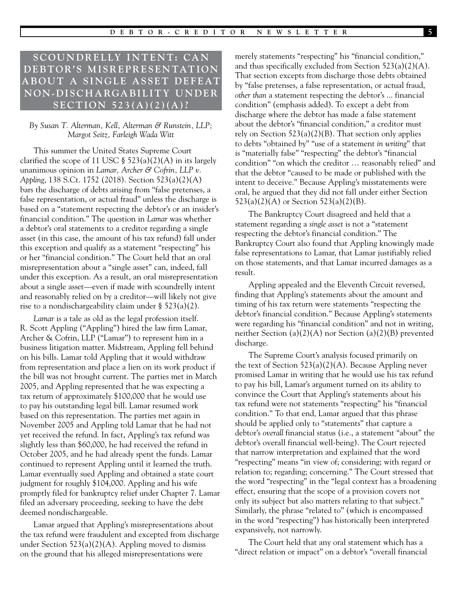## <span id="page-4-0"></span>**S C OU N DR E LLY I N T E N T: CA N DE BTOR'S M ISR E PR E S E N TAT ION A B OU T A SI NGLE AS S ET DE F EAT NON-DIS C H A RGA BI LIT Y U N DE R SECTION 523(A)(2)(A)?**

#### *By Susan T. Alterman, Kell, Alterman & Runstein, LLP; Margot Seitz, Farleigh Wada Witt*

This summer the United States Supreme Court clarified the scope of 11 USC  $\S$  523(a)(2)(A) in its largely unanimous opinion in *Lamar, Archer & Cofrin, LLP v. Appling*, 138 S.Ct. 1752 (2018). Section 523(a)(2)(A) bars the discharge of debts arising from "false pretenses, a false representation, or actual fraud" unless the discharge is based on a "statement respecting the debtor's or an insider's financial condition." The question in *Lamar* was whether a debtor's oral statements to a creditor regarding a single asset (in this case, the amount of his tax refund) fall under this exception and qualify as a statement "respecting" his or her "financial condition." The Court held that an oral misrepresentation about a "single asset" can, indeed, fall under this exception. As a result, an oral misrepresentation about a single asset—even if made with scoundrelly intent and reasonably relied on by a creditor—will likely not give rise to a nondischargeability claim under § 523(a)(2).

*Lamar* is a tale as old as the legal profession itself. R. Scott Appling ("Appling") hired the law firm Lamar, Archer & Cofrin, LLP ("Lamar") to represent him in a business litigation matter. Midstream, Appling fell behind on his bills. Lamar told Appling that it would withdraw from representation and place a lien on its work product if the bill was not brought current. The parties met in March 2005, and Appling represented that he was expecting a tax return of approximately \$100,000 that he would use to pay his outstanding legal bill. Lamar resumed work based on this representation. The parties met again in November 2005 and Appling told Lamar that he had not yet received the refund. In fact, Appling's tax refund was slightly less than \$60,000, he had received the refund in October 2005, and he had already spent the funds. Lamar continued to represent Appling until it learned the truth. Lamar eventually sued Appling and obtained a state court judgment for roughly \$104,000. Appling and his wife promptly filed for bankruptcy relief under Chapter 7. Lamar filed an adversary proceeding, seeking to have the debt deemed nondischargeable.

Lamar argued that Appling's misrepresentations about the tax refund were fraudulent and excepted from discharge under Section  $523(a)(2)(A)$ . Appling moved to dismiss on the ground that his alleged misrepresentations were

merely statements "respecting" his "financial condition," and thus specifically excluded from Section  $523(a)(2)(A)$ . That section excepts from discharge those debts obtained by "false pretenses, a false representation, or actual fraud, *other than* a statement respecting the debtor's ... financial condition" (emphasis added). To except a debt from discharge where the debtor has made a false statement about the debtor's "financial condition," a creditor must rely on Section  $523(a)(2)(B)$ . That section only applies to debts "obtained by" "use of a statement *in writing*" that is "materially false" "respecting" the debtor's "financial condition" "on which the creditor … reasonably relied" and that the debtor "caused to be made or published with the intent to deceive." Because Appling's misstatements were oral, he argued that they did not fall under either Section  $523(a)(2)(A)$  or Section  $523(a)(2)(B)$ .

The Bankruptcy Court disagreed and held that a statement regarding a *single asset* is not a "statement respecting the debtor's financial condition." The Bankruptcy Court also found that Appling knowingly made false representations to Lamar, that Lamar justifiably relied on those statements, and that Lamar incurred damages as a result.

Appling appealed and the Eleventh Circuit reversed, finding that Appling's statements about the amount and timing of his tax return were statements "respecting the debtor's financial condition." Because Appling's statements were regarding his "financial condition" and not in writing, neither Section (a)(2)(A) nor Section (a)(2)(B) prevented discharge.

The Supreme Court's analysis focused primarily on the text of Section 523(a)(2)(A). Because Appling never promised Lamar in writing that he would use his tax refund to pay his bill, Lamar's argument turned on its ability to convince the Court that Appling's statements about his tax refund were not statements "respecting" his "financial condition." To that end, Lamar argued that this phrase should be applied only to "statements" that capture a debtor's *overall* financial status (i.e., a statement "about" the debtor's overall financial well-being). The Court rejected that narrow interpretation and explained that the word "respecting" means "in view of; considering; with regard or relation to; regarding; concerning." The Court stressed that the word "respecting" in the "legal context has a broadening effect, ensuring that the scope of a provision covers not only its subject but also matters relating to that subject." Similarly, the phrase "related to" (which is encompassed in the word "respecting") has historically been interpreted expansively, not narrowly.

The Court held that any oral statement which has a "direct relation or impact" on a debtor's "overall financial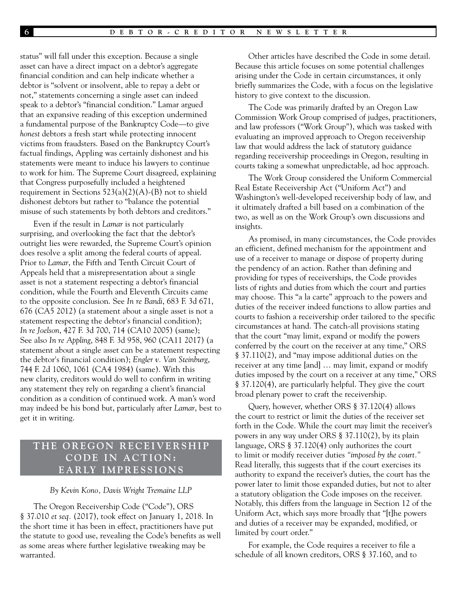<span id="page-5-0"></span>status" will fall under this exception. Because a single asset can have a direct impact on a debtor's aggregate financial condition and can help indicate whether a debtor is "solvent or insolvent, able to repay a debt or not," statements concerning a single asset can indeed speak to a debtor's "financial condition." Lamar argued that an expansive reading of this exception undermined a fundamental purpose of the Bankruptcy Code—to give *honest* debtors a fresh start while protecting innocent victims from fraudsters. Based on the Bankruptcy Court's factual findings, Appling was certainly dishonest and his statements were meant to induce his lawyers to continue to work for him. The Supreme Court disagreed, explaining that Congress purposefully included a heightened requirement in Sections  $523(a)(2)(A)$ -(B) not to shield dishonest debtors but rather to "balance the potential misuse of such statements by both debtors and creditors."

Even if the result in *Lamar* is not particularly surprising, and overlooking the fact that the debtor's outright lies were rewarded, the Supreme Court's opinion does resolve a split among the federal courts of appeal. Prior to *Lamar*, the Fifth and Tenth Circuit Court of Appeals held that a misrepresentation about a single asset is not a statement respecting a debtor's financial condition, while the Fourth and Eleventh Circuits came to the opposite conclusion. See *In re Bandi*, 683 F. 3d 671, 676 (CA5 2012) (a statement about a single asset is not a statement respecting the debtor's financial condition); *In re Joelson*, 427 F. 3d 700, 714 (CA10 2005) (same); See also *In re Appling*, 848 F. 3d 958, 960 (CA11 2017) (a statement about a single asset can be a statement respecting the debtor's financial condition); *Engler v. Van Steinburg*, 744 F. 2d 1060, 1061 (CA4 1984) (same). With this new clarity, creditors would do well to confirm in writing any statement they rely on regarding a client's financial condition as a condition of continued work. A man's word may indeed be his bond but, particularly after *Lamar*, best to get it in writing.

## THE OREGON RECEIVERSHIP **CODE IN ACTION: EARLY IMPRESSIONS**

#### *By Kevin Kono, Davis Wright Tremaine LLP*

The Oregon Receivership Code ("Code"), ORS § 37.010 *et seq.* (2017), took effect on January 1, 2018. In the short time it has been in effect, practitioners have put the statute to good use, revealing the Code's benefits as well as some areas where further legislative tweaking may be warranted.

Other articles have described the Code in some detail. Because this article focuses on some potential challenges arising under the Code in certain circumstances, it only briefly summarizes the Code, with a focus on the legislative history to give context to the discussion.

The Code was primarily drafted by an Oregon Law Commission Work Group comprised of judges, practitioners, and law professors ("Work Group"), which was tasked with evaluating an improved approach to Oregon receivership law that would address the lack of statutory guidance regarding receivership proceedings in Oregon, resulting in courts taking a somewhat unpredictable, ad hoc approach.

The Work Group considered the Uniform Commercial Real Estate Receivership Act ("Uniform Act") and Washington's well-developed receivership body of law, and it ultimately drafted a bill based on a combination of the two, as well as on the Work Group's own discussions and insights.

As promised, in many circumstances, the Code provides an efficient, defined mechanism for the appointment and use of a receiver to manage or dispose of property during the pendency of an action. Rather than defining and providing for types of receiverships, the Code provides lists of rights and duties from which the court and parties may choose. This "a la carte" approach to the powers and duties of the receiver indeed functions to allow parties and courts to fashion a receivership order tailored to the specific circumstances at hand. The catch-all provisions stating that the court "may limit, expand or modify the powers conferred by the court on the receiver at any time," ORS § 37.110(2), and "may impose additional duties on the receiver at any time [and] … may limit, expand or modify duties imposed by the court on a receiver at any time," ORS § 37.120(4), are particularly helpful. They give the court broad plenary power to craft the receivership.

Query, however, whether ORS § 37.120(4) allows the court to restrict or limit the duties of the receiver set forth in the Code. While the court may limit the receiver's powers in any way under ORS § 37.110(2), by its plain language, ORS § 37.120(4) only authorizes the court to limit or modify receiver duties *"imposed by the court."* Read literally, this suggests that if the court exercises its authority to expand the receiver's duties, the court has the power later to limit those expanded duties, but not to alter a statutory obligation the Code imposes on the receiver. Notably, this differs from the language in Section 12 of the Uniform Act, which says more broadly that "[t]he powers and duties of a receiver may be expanded, modified, or limited by court order."

For example, the Code requires a receiver to file a schedule of all known creditors, ORS § 37.160, and to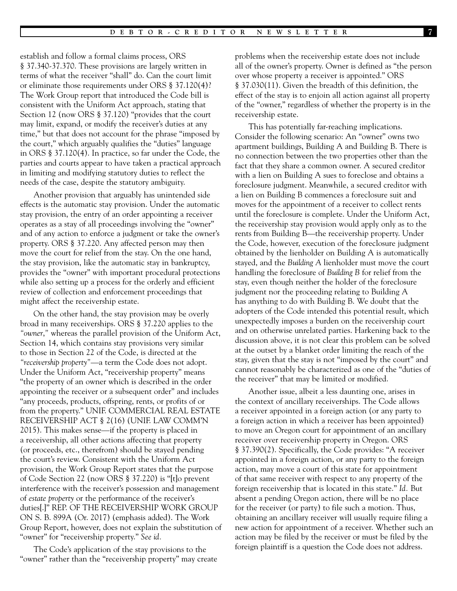establish and follow a formal claims process, ORS § 37.340-37.370. These provisions are largely written in terms of what the receiver "shall" do. Can the court limit or eliminate those requirements under ORS § 37.120(4)? The Work Group report that introduced the Code bill is consistent with the Uniform Act approach, stating that Section 12 (now ORS § 37.120) "provides that the court may limit, expand, or modify the receiver's duties at any time," but that does not account for the phrase "imposed by the court," which arguably qualifies the "duties" language in ORS § 37.120(4). In practice, so far under the Code, the parties and courts appear to have taken a practical approach in limiting and modifying statutory duties to reflect the needs of the case, despite the statutory ambiguity.

Another provision that arguably has unintended side effects is the automatic stay provision. Under the automatic stay provision, the entry of an order appointing a receiver operates as a stay of all proceedings involving the "owner" and of any action to enforce a judgment or take the owner's property. ORS § 37.220. Any affected person may then move the court for relief from the stay. On the one hand, the stay provision, like the automatic stay in bankruptcy, provides the "owner" with important procedural protections while also setting up a process for the orderly and efficient review of collection and enforcement proceedings that might affect the receivership estate.

On the other hand, the stay provision may be overly broad in many receiverships. ORS § 37.220 applies to the *"owner*,*"* whereas the parallel provision of the Uniform Act, Section 14, which contains stay provisions very similar to those in Section 22 of the Code, is directed at the *"receivership property"*—a term the Code does not adopt. Under the Uniform Act, "receivership property" means "the property of an owner which is described in the order appointing the receiver or a subsequent order" and includes "any proceeds, products, offspring, rents, or profits of or from the property." UNIF. COMMERCIAL REAL ESTATE RECEIVERSHIP ACT § 2(16) (UNIF. LAW COMM'N 2015). This makes sense—if the property is placed in a receivership, all other actions affecting that property (or proceeds, etc., therefrom) should be stayed pending the court's review. Consistent with the Uniform Act provision, the Work Group Report states that the purpose of Code Section 22 (now ORS § 37.220) is "[t]o prevent interference with the receiver's possession and management of *estate property* or the performance of the receiver's duties[.]" REP. OF THE RECEIVERSHIP WORK GROUP ON S. B. 899A (Or. 2017) (emphasis added). The Work Group Report, however, does not explain the substitution of "owner" for "receivership property." *See id.* 

The Code's application of the stay provisions to the "owner" rather than the "receivership property" may create problems when the receivership estate does not include all of the owner's property. Owner is defined as "the person over whose property a receiver is appointed." ORS § 37.030(11). Given the breadth of this definition, the effect of the stay is to enjoin all action against all property of the "owner," regardless of whether the property is in the receivership estate.

This has potentially far-reaching implications. Consider the following scenario: An "owner" owns two apartment buildings, Building A and Building B. There is no connection between the two properties other than the fact that they share a common owner. A secured creditor with a lien on Building A sues to foreclose and obtains a foreclosure judgment. Meanwhile, a secured creditor with a lien on Building B commences a foreclosure suit and moves for the appointment of a receiver to collect rents until the foreclosure is complete. Under the Uniform Act, the receivership stay provision would apply only as to the rents from Building B—the receivership property. Under the Code, however, execution of the foreclosure judgment obtained by the lienholder on Building A is automatically stayed, and the *Building A* lienholder must move the court handling the foreclosure of *Building B* for relief from the stay, even though neither the holder of the foreclosure judgment nor the proceeding relating to Building A has anything to do with Building B. We doubt that the adopters of the Code intended this potential result, which unexpectedly imposes a burden on the receivership court and on otherwise unrelated parties. Harkening back to the discussion above, it is not clear this problem can be solved at the outset by a blanket order limiting the reach of the stay, given that the stay is not "imposed by the court" and cannot reasonably be characterized as one of the "duties of the receiver" that may be limited or modified.

Another issue, albeit a less daunting one, arises in the context of ancillary receiverships. The Code allows a receiver appointed in a foreign action (or any party to a foreign action in which a receiver has been appointed) to move an Oregon court for appointment of an ancillary receiver over receivership property in Oregon. ORS § 37.390(2). Specifically, the Code provides: "A receiver appointed in a foreign action, or any party to the foreign action, may move a court of this state for appointment of that same receiver with respect to any property of the foreign receivership that is located in this state." *Id.* But absent a pending Oregon action, there will be no place for the receiver (or party) to file such a motion. Thus, obtaining an ancillary receiver will usually require filing a new action for appointment of a receiver. Whether such an action may be filed by the receiver or must be filed by the foreign plaintiff is a question the Code does not address.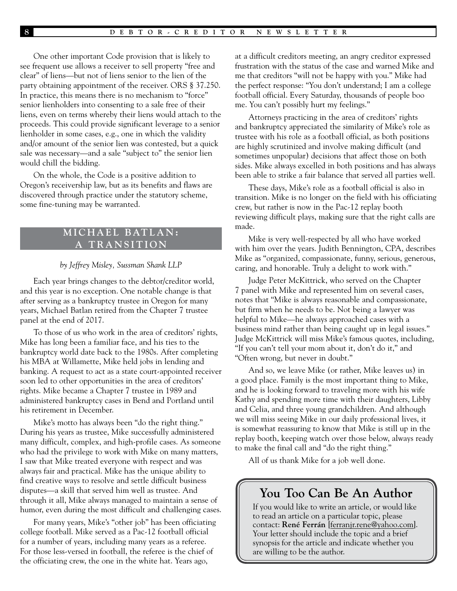One other important Code provision that is likely to see frequent use allows a receiver to sell property "free and clear" of liens—but not of liens senior to the lien of the party obtaining appointment of the receiver. ORS § 37.250. In practice, this means there is no mechanism to "force" senior lienholders into consenting to a sale free of their liens, even on terms whereby their liens would attach to the proceeds. This could provide significant leverage to a senior lienholder in some cases, e.g., one in which the validity and/or amount of the senior lien was contested, but a quick sale was necessary—and a sale "subject to" the senior lien would chill the bidding.

On the whole, the Code is a positive addition to Oregon's receivership law, but as its benefits and flaws are discovered through practice under the statutory scheme, some fine-tuning may be warranted.

### **MICHAEL BATLAN: A TRANSITION**

#### *by Jeffrey Misley, Sussman Shank LLP*

Each year brings changes to the debtor/creditor world, and this year is no exception. One notable change is that after serving as a bankruptcy trustee in Oregon for many years, Michael Batlan retired from the Chapter 7 trustee panel at the end of 2017.

To those of us who work in the area of creditors' rights, Mike has long been a familiar face, and his ties to the bankruptcy world date back to the 1980s. After completing his MBA at Willamette, Mike held jobs in lending and banking. A request to act as a state court-appointed receiver soon led to other opportunities in the area of creditors' rights. Mike became a Chapter 7 trustee in 1989 and administered bankruptcy cases in Bend and Portland until his retirement in December.

Mike's motto has always been "do the right thing." During his years as trustee, Mike successfully administered many difficult, complex, and high-profile cases. As someone who had the privilege to work with Mike on many matters, I saw that Mike treated everyone with respect and was always fair and practical. Mike has the unique ability to find creative ways to resolve and settle difficult business disputes—a skill that served him well as trustee. And through it all, Mike always managed to maintain a sense of humor, even during the most difficult and challenging cases.

For many years, Mike's "other job" has been officiating college football. Mike served as a Pac-12 football official for a number of years, including many years as a referee. For those less-versed in football, the referee is the chief of the officiating crew, the one in the white hat. Years ago,

at a difficult creditors meeting, an angry creditor expressed frustration with the status of the case and warned Mike and me that creditors "will not be happy with you." Mike had the perfect response: "You don't understand; I am a college football official. Every Saturday, thousands of people boo me. You can't possibly hurt my feelings."

Attorneys practicing in the area of creditors' rights and bankruptcy appreciated the similarity of Mike's role as trustee with his role as a football official, as both positions are highly scrutinized and involve making difficult (and sometimes unpopular) decisions that affect those on both sides. Mike always excelled in both positions and has always been able to strike a fair balance that served all parties well.

These days, Mike's role as a football official is also in transition. Mike is no longer on the field with his officiating crew, but rather is now in the Pac-12 replay booth reviewing difficult plays, making sure that the right calls are made.

Mike is very well-respected by all who have worked with him over the years. Judith Bennington, CPA, describes Mike as "organized, compassionate, funny, serious, generous, caring, and honorable. Truly a delight to work with."

Judge Peter McKittrick, who served on the Chapter 7 panel with Mike and represented him on several cases, notes that "Mike is always reasonable and compassionate, but firm when he needs to be. Not being a lawyer was helpful to Mike—he always approached cases with a business mind rather than being caught up in legal issues." Judge McKittrick will miss Mike's famous quotes, including, "If you can't tell your mom about it, don't do it," and "Often wrong, but never in doubt."

And so, we leave Mike (or rather, Mike leaves us) in a good place. Family is the most important thing to Mike, and he is looking forward to traveling more with his wife Kathy and spending more time with their daughters, Libby and Celia, and three young grandchildren. And although we will miss seeing Mike in our daily professional lives, it is somewhat reassuring to know that Mike is still up in the replay booth, keeping watch over those below, always ready to make the final call and "do the right thing."

All of us thank Mike for a job well done.

# **You Too Can Be An Author**

If you would like to write an article, or would like to read an article on a particular topic, please contact: **René Ferrán** [[ferranjr.rene@yahoo.com](mailto:ferranjr.rene%40yahoo.com?subject=)]. Your letter should include the topic and a brief synopsis for the article and indicate whether you are willing to be the author.

<span id="page-7-0"></span>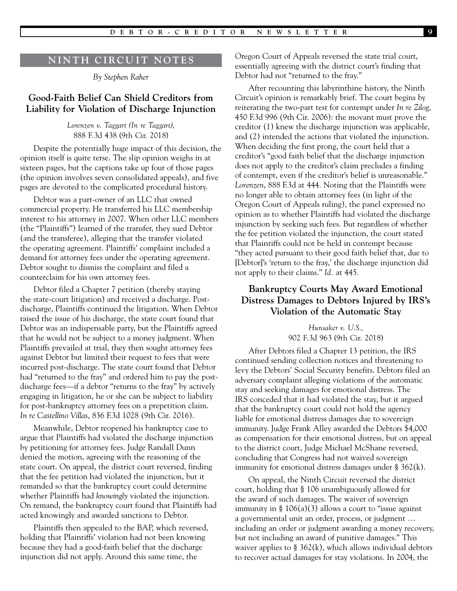*By Stephen Raher*

## **Good-Faith Belief Can Shield Creditors from Liability for Violation of Discharge Injunction**

*Lorenzen v. Taggart (In re Taggart),* 888 F.3d 438 (9th Cir. 2018)

Despite the potentially huge impact of this decision, the opinion itself is quite terse. The slip opinion weighs in at sixteen pages, but the captions take up four of those pages (the opinion involves seven consolidated appeals), and five pages are devoted to the complicated procedural history.

Debtor was a part-owner of an LLC that owned commercial property. He transferred his LLC membership interest to his attorney in 2007. When other LLC members (the "Plaintiffs") learned of the transfer, they sued Debtor (and the transferee), alleging that the transfer violated the operating agreement. Plaintiffs' complaint included a demand for attorney fees under the operating agreement. Debtor sought to dismiss the complaint and filed a counterclaim for his own attorney fees.

Debtor filed a Chapter 7 petition (thereby staying the state-court litigation) and received a discharge. Postdischarge, Plaintiffs continued the litigation. When Debtor raised the issue of his discharge, the state court found that Debtor was an indispensable party, but the Plaintiffs agreed that he would not be subject to a money judgment. When Plaintiffs prevailed at trial, they then sought attorney fees against Debtor but limited their request to fees that were incurred post-discharge. The state court found that Debtor had "returned to the fray" and ordered him to pay the postdischarge fees—if a debtor "returns to the fray" by actively engaging in litigation, he or she can be subject to liability for post-bankruptcy attorney fees on a prepetition claim. *In re Castellino Villas*, 836 F.3d 1028 (9th Cir. 2016).

Meanwhile, Debtor reopened his bankruptcy case to argue that Plaintiffs had violated the discharge injunction by petitioning for attorney fees. Judge Randall Dunn denied the motion, agreeing with the reasoning of the state court. On appeal, the district court reversed, finding that the fee petition had violated the injunction, but it remanded so that the bankruptcy court could determine whether Plaintiffs had *knowingly* violated the injunction. On remand, the bankruptcy court found that Plaintiffs had acted knowingly and awarded sanctions to Debtor.

Plaintiffs then appealed to the BAP, which reversed, holding that Plaintiffs' violation had not been knowing because they had a good-faith belief that the discharge injunction did not apply. Around this same time, the

Oregon Court of Appeals reversed the state trial court, essentially agreeing with the district court's finding that Debtor had not "returned to the fray."

After recounting this labyrinthine history, the Ninth Circuit's opinion is remarkably brief. The court begins by reiterating the two-part test for contempt under *In re Zilog*, 450 F.3d 996 (9th Cir. 2006): the movant must prove the creditor (1) knew the discharge injunction was applicable, and (2) intended the actions that violated the injunction. When deciding the first prong, the court held that a creditor's "good faith belief that the discharge injunction does not apply to the creditor's claim precludes a finding of contempt, even if the creditor's belief is unreasonable." *Lorenzen*, 888 F.3d at 444. Noting that the Plaintiffs were no longer able to obtain attorney fees (in light of the Oregon Court of Appeals ruling), the panel expressed no opinion as to whether Plaintiffs had violated the discharge injunction by seeking such fees. But regardless of whether the fee petition violated the injunction, the court stated that Plaintiffs could not be held in contempt because "they acted pursuant to their good faith belief that, due to [Debtor]'s 'return to the fray,' the discharge injunction did not apply to their claims." *Id.* at 445.

## **Bankruptcy Courts May Award Emotional Distress Damages to Debtors Injured by IRS's Violation of the Automatic Stay**

*Hunsaker v. U.S.,* 902 F.3d 963 (9th Cir. 2018)

After Debtors filed a Chapter 13 petition, the IRS continued sending collection notices and threatening to levy the Debtors' Social Security benefits. Debtors filed an adversary complaint alleging violations of the automatic stay and seeking damages for emotional distress. The IRS conceded that it had violated the stay, but it argued that the bankruptcy court could not hold the agency liable for emotional distress damages due to sovereign immunity. Judge Frank Alley awarded the Debtors \$4,000 as compensation for their emotional distress, but on appeal to the district court, Judge Michael McShane reversed, concluding that Congress had not waived sovereign immunity for emotional distress damages under § 362(k).

On appeal, the Ninth Circuit reversed the district court, holding that § 106 unambiguously allowed for the award of such damages. The waiver of sovereign immunity in  $\S 106(a)(3)$  allows a court to "issue against" a governmental unit an order, process, or judgment … including an order or judgment awarding a money recovery, but not including an award of punitive damages." This waiver applies to  $\S 362(k)$ , which allows individual debtors to recover actual damages for stay violations. In 2004, the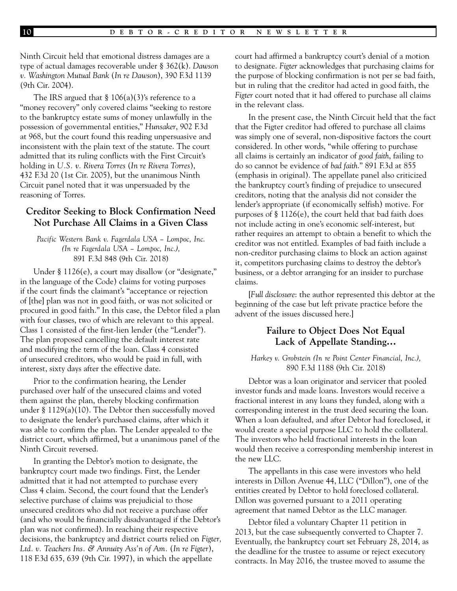Ninth Circuit held that emotional distress damages are a type of actual damages recoverable under § 362(k). *Dawson v. Washington Mutual Bank* (*In re Dawson*), 390 F.3d 1139 (9th Cir. 2004).

The IRS argued that  $\S 106(a)(3)$ 's reference to a "money recovery" only covered claims "seeking to restore to the bankruptcy estate sums of money unlawfully in the possession of governmental entities," *Hunsaker*, 902 F.3d at 968, but the court found this reading unpersuasive and inconsistent with the plain text of the statute. The court admitted that its ruling conflicts with the First Circuit's holding in *U.S. v. Rivera Torres* (*In re Rivera Torres*), 432 F.3d 20 (1st Cir. 2005), but the unanimous Ninth Circuit panel noted that it was unpersuaded by the reasoning of Torres.

### **Creditor Seeking to Block Confirmation Need Not Purchase All Claims in a Given Class**

*Pacific Western Bank v. Fagerdala USA – Lompoc, Inc. (In re Fagerdala USA – Lompoc, Inc.),* 891 F.3d 848 (9th Cir. 2018)

Under § 1126(e), a court may disallow (or "designate," in the language of the Code) claims for voting purposes if the court finds the claimant's "acceptance or rejection of [the] plan was not in good faith, or was not solicited or procured in good faith." In this case, the Debtor filed a plan with four classes, two of which are relevant to this appeal. Class 1 consisted of the first-lien lender (the "Lender"). The plan proposed cancelling the default interest rate and modifying the term of the loan. Class 4 consisted of unsecured creditors, who would be paid in full, with interest, sixty days after the effective date.

Prior to the confirmation hearing, the Lender purchased over half of the unsecured claims and voted them against the plan, thereby blocking confirmation under § 1129(a)(10). The Debtor then successfully moved to designate the lender's purchased claims, after which it was able to confirm the plan. The Lender appealed to the district court, which affirmed, but a unanimous panel of the Ninth Circuit reversed.

In granting the Debtor's motion to designate, the bankruptcy court made two findings. First, the Lender admitted that it had not attempted to purchase every Class 4 claim. Second, the court found that the Lender's selective purchase of claims was prejudicial to those unsecured creditors who did not receive a purchase offer (and who would be financially disadvantaged if the Debtor's plan was not confirmed). In reaching their respective decisions, the bankruptcy and district courts relied on *Figter, Ltd. v. Teachers Ins. & Annuity Ass'n of Am.* (*In re Figter*), 118 F.3d 635, 639 (9th Cir. 1997), in which the appellate

court had affirmed a bankruptcy court's denial of a motion to designate. *Figter* acknowledges that purchasing claims for the purpose of blocking confirmation is not per se bad faith, but in ruling that the creditor had acted in good faith, the *Figter* court noted that it had offered to purchase all claims in the relevant class.

In the present case, the Ninth Circuit held that the fact that the Figter creditor had offered to purchase all claims was simply one of several, non-dispositive factors the court considered. In other words, "while offering to purchase all claims is certainly an indicator of *good faith*, failing to do so cannot be evidence of *bad faith*." 891 F.3d at 855 (emphasis in original). The appellate panel also criticized the bankruptcy court's finding of prejudice to unsecured creditors, noting that the analysis did not consider the lender's appropriate (if economically selfish) motive. For purposes of § 1126(e), the court held that bad faith does not include acting in one's economic self-interest, but rather requires an attempt to obtain a benefit to which the creditor was not entitled. Examples of bad faith include a non-creditor purchasing claims to block an action against it, competitors purchasing claims to destroy the debtor's business, or a debtor arranging for an insider to purchase claims.

[*Full disclosure*: the author represented this debtor at the beginning of the case but left private practice before the advent of the issues discussed here.]

## **Failure to Object Does Not Equal Lack of Appellate Standing…**

#### *Harkey v. Grobstein (In re Point Center Financial, Inc.),* 890 F.3d 1188 (9th Cir. 2018)

Debtor was a loan originator and servicer that pooled investor funds and made loans. Investors would receive a fractional interest in any loans they funded, along with a corresponding interest in the trust deed securing the loan. When a loan defaulted, and after Debtor had foreclosed, it would create a special purpose LLC to hold the collateral. The investors who held fractional interests in the loan would then receive a corresponding membership interest in the new LLC.

The appellants in this case were investors who held interests in Dillon Avenue 44, LLC ("Dillon"), one of the entities created by Debtor to hold foreclosed collateral. Dillon was governed pursuant to a 2011 operating agreement that named Debtor as the LLC manager.

Debtor filed a voluntary Chapter 11 petition in 2013, but the case subsequently converted to Chapter 7. Eventually, the bankruptcy court set February 28, 2014, as the deadline for the trustee to assume or reject executory contracts. In May 2016, the trustee moved to assume the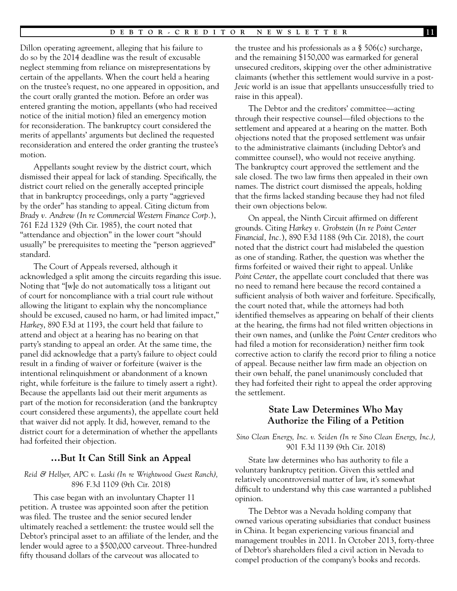Dillon operating agreement, alleging that his failure to do so by the 2014 deadline was the result of excusable neglect stemming from reliance on misrepresentations by certain of the appellants. When the court held a hearing on the trustee's request, no one appeared in opposition, and the court orally granted the motion. Before an order was entered granting the motion, appellants (who had received notice of the initial motion) filed an emergency motion for reconsideration. The bankruptcy court considered the merits of appellants' arguments but declined the requested reconsideration and entered the order granting the trustee's motion.

Appellants sought review by the district court, which dismissed their appeal for lack of standing. Specifically, the district court relied on the generally accepted principle that in bankruptcy proceedings, only a party "aggrieved by the order" has standing to appeal. Citing dictum from *Brady v. Andrew (In re Commercial Western Finance Corp.*), 761 F.2d 1329 (9th Cir. 1985), the court noted that "attendance and objection" in the lower court "should usually" be prerequisites to meeting the "person aggrieved" standard.

The Court of Appeals reversed, although it acknowledged a split among the circuits regarding this issue. Noting that "[w]e do not automatically toss a litigant out of court for noncompliance with a trial court rule without allowing the litigant to explain why the noncompliance should be excused, caused no harm, or had limited impact," *Harkey*, 890 F.3d at 1193, the court held that failure to attend and object at a hearing has no bearing on that party's standing to appeal an order. At the same time, the panel did acknowledge that a party's failure to object could result in a finding of waiver or forfeiture (waiver is the intentional relinquishment or abandonment of a known right, while forfeiture is the failure to timely assert a right). Because the appellants laid out their merit arguments as part of the motion for reconsideration (and the bankruptcy court considered these arguments), the appellate court held that waiver did not apply. It did, however, remand to the district court for a determination of whether the appellants had forfeited their objection.

#### **…But It Can Still Sink an Appeal**

### *Reid & Hellyer, APC v. Laski (In re Wrightwood Guest Ranch),* 896 F.3d 1109 (9th Cir. 2018)

This case began with an involuntary Chapter 11 petition. A trustee was appointed soon after the petition was filed. The trustee and the senior secured lender ultimately reached a settlement: the trustee would sell the Debtor's principal asset to an affiliate of the lender, and the lender would agree to a \$500,000 carveout. Three-hundred fifty thousand dollars of the carveout was allocated to

the trustee and his professionals as a  $\S$  506(c) surcharge, and the remaining \$150,000 was earmarked for general unsecured creditors, skipping over the other administrative claimants (whether this settlement would survive in a post-*Jevic* world is an issue that appellants unsuccessfully tried to raise in this appeal).

The Debtor and the creditors' committee—acting through their respective counsel—filed objections to the settlement and appeared at a hearing on the matter. Both objections noted that the proposed settlement was unfair to the administrative claimants (including Debtor's and committee counsel), who would not receive anything. The bankruptcy court approved the settlement and the sale closed. The two law firms then appealed in their own names. The district court dismissed the appeals, holding that the firms lacked standing because they had not filed their own objections below.

On appeal, the Ninth Circuit affirmed on different grounds. Citing *Harkey v. Grobstein* (*In re Point Center Financial, Inc.*), 890 F.3d 1188 (9th Cir. 2018), the court noted that the district court had mislabeled the question as one of standing. Rather, the question was whether the firms forfeited or waived their right to appeal. Unlike *Point Center*, the appellate court concluded that there was no need to remand here because the record contained a sufficient analysis of both waiver and forfeiture. Specifically, the court noted that, while the attorneys had both identified themselves as appearing on behalf of their clients at the hearing, the firms had not filed written objections in their own names, and (unlike the *Point Center* creditors who had filed a motion for reconsideration) neither firm took corrective action to clarify the record prior to filing a notice of appeal. Because neither law firm made an objection on their own behalf, the panel unanimously concluded that they had forfeited their right to appeal the order approving the settlement.

### **State Law Determines Who May Authorize the Filing of a Petition**

*Sino Clean Energy, Inc. v. Seiden (In re Sino Clean Energy, Inc.),* 901 F.3d 1139 (9th Cir. 2018)

State law determines who has authority to file a voluntary bankruptcy petition. Given this settled and relatively uncontroversial matter of law, it's somewhat difficult to understand why this case warranted a published opinion.

The Debtor was a Nevada holding company that owned various operating subsidiaries that conduct business in China. It began experiencing various financial and management troubles in 2011. In October 2013, forty-three of Debtor's shareholders filed a civil action in Nevada to compel production of the company's books and records.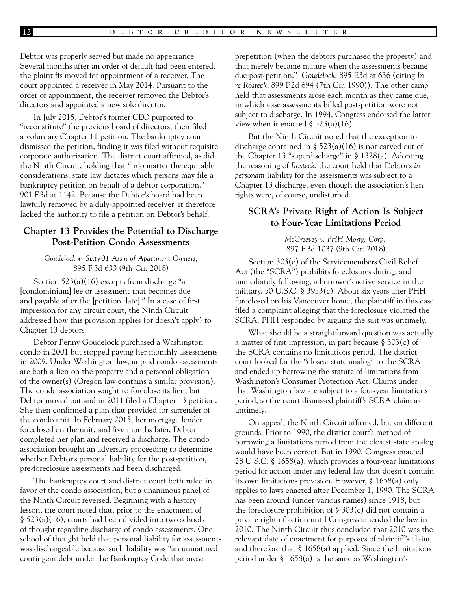Debtor was properly served but made no appearance. Several months after an order of default had been entered, the plaintiffs moved for appointment of a receiver. The court appointed a receiver in May 2014. Pursuant to the order of appointment, the receiver removed the Debtor's directors and appointed a new sole director.

In July 2015, Debtor's former CEO purported to "reconstitute" the previous board of directors, then filed a voluntary Chapter 11 petition. The bankruptcy court dismissed the petition, finding it was filed without requisite corporate authorization. The district court affirmed, as did the Ninth Circuit, holding that "[n]o matter the equitable considerations, state law dictates which persons may file a bankruptcy petition on behalf of a debtor corporation." 901 F.3d at 1142. Because the Debtor's board had been lawfully removed by a duly-appointed receiver, it therefore lacked the authority to file a petition on Debtor's behalf.

### **Chapter 13 Provides the Potential to Discharge Post-Petition Condo Assessments**

#### *Goudelock v. Sixty-01 Ass'n of Apartment Owners,* 895 F.3d 633 (9th Cir. 2018)

Section 523(a)(16) excepts from discharge "a [condominium] fee or assessment that becomes due and payable after the [petition date]." In a case of first impression for any circuit court, the Ninth Circuit addressed how this provision applies (or doesn't apply) to Chapter 13 debtors.

Debtor Penny Goudelock purchased a Washington condo in 2001 but stopped paying her monthly assessments in 2009. Under Washington law, unpaid condo assessments are both a lien on the property and a personal obligation of the owner(s) (Oregon law contains a similar provision). The condo association sought to foreclose its lien, but Debtor moved out and in 2011 filed a Chapter 13 petition. She then confirmed a plan that provided for surrender of the condo unit. In February 2015, her mortgage lender foreclosed on the unit, and five months later, Debtor completed her plan and received a discharge. The condo association brought an adversary proceeding to determine whether Debtor's personal liability for the post-petition, pre-foreclosure assessments had been discharged.

The bankruptcy court and district court both ruled in favor of the condo association, but a unanimous panel of the Ninth Circuit reversed. Beginning with a history lesson, the court noted that, prior to the enactment of § 523(a)(16), courts had been divided into two schools of thought regarding discharge of condo assessments. One school of thought held that personal liability for assessments was dischargeable because such liability was "an unmatured contingent debt under the Bankruptcy Code that arose

prepetition (when the debtors purchased the property) and that merely became mature when the assessments became due post-petition." *Goudelock*, 895 F.3d at 636 (citing *In re Rosteck*, 899 F.2d 694 (7th Cir. 1990)). The other camp held that assessments arose each month as they came due, in which case assessments billed post-petition were not subject to discharge. In 1994, Congress endorsed the latter view when it enacted  $\S$  523(a)(16).

But the Ninth Circuit noted that the exception to discharge contained in §  $523(a)(16)$  is not carved out of the Chapter 13 "superdischarge" in § 1328(a). Adopting the reasoning of *Rosteck*, the court held that Debtor's *in personam* liability for the assessments was subject to a Chapter 13 discharge, even though the association's lien rights were, of course, undisturbed.

### **SCRA's Private Right of Action Is Subject to Four-Year Limitations Period**

*McGreevey v. PHH Mortg. Corp.,* 897 F.3d 1037 (9th Cir. 2018)

Section 303(c) of the Servicemembers Civil Relief Act (the "SCRA") prohibits foreclosures during, and immediately following, a borrower's active service in the military. 50 U.S.C. § 3953(c). About six years after PHH foreclosed on his Vancouver home, the plaintiff in this case filed a complaint alleging that the foreclosure violated the SCRA. PHH responded by arguing the suit was untimely.

What should be a straightforward question was actually a matter of first impression, in part because § 303(c) of the SCRA contains no limitations period. The district court looked for the "closest state analog" to the SCRA and ended up borrowing the statute of limitations from Washington's Consumer Protection Act. Claims under that Washington law are subject to a four-year limitations period, so the court dismissed plaintiff's SCRA claim as untimely.

On appeal, the Ninth Circuit affirmed, but on different grounds. Prior to 1990, the district court's method of borrowing a limitations period from the closest state analog would have been correct. But in 1990, Congress enacted 28 U.S.C. § 1658(a), which provides a four-year limitations period for action under any federal law that doesn't contain its own limitations provision. However, § 1658(a) only applies to laws enacted after December 1, 1990. The SCRA has been around (under various names) since 1918, but the foreclosure prohibition of § 303(c) did not contain a private right of action until Congress amended the law in 2010. The Ninth Circuit thus concluded that 2010 was the relevant date of enactment for purposes of plaintiff's claim, and therefore that § 1658(a) applied. Since the limitations period under § 1658(a) is the same as Washington's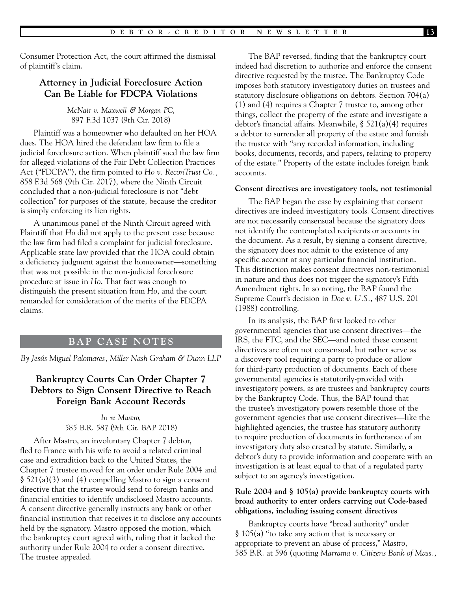<span id="page-12-0"></span>Consumer Protection Act, the court affirmed the dismissal of plaintiff's claim.

## **Attorney in Judicial Foreclosure Action Can Be Liable for FDCPA Violations**

*McNair v. Maxwell & Morgan PC,* 897 F.3d 1037 (9th Cir. 2018)

Plaintiff was a homeowner who defaulted on her HOA dues. The HOA hired the defendant law firm to file a judicial foreclosure action. When plaintiff sued the law firm for alleged violations of the Fair Debt Collection Practices Act ("FDCPA"), the firm pointed to *Ho v. ReconTrust Co.,*  858 F.3d 568 (9th Cir. 2017), where the Ninth Circuit concluded that a non-judicial foreclosure is not "debt collection" for purposes of the statute, because the creditor is simply enforcing its lien rights.

A unanimous panel of the Ninth Circuit agreed with Plaintiff that *Ho* did not apply to the present case because the law firm had filed a complaint for judicial foreclosure. Applicable state law provided that the HOA could obtain a deficiency judgment against the homeowner—something that was not possible in the non-judicial foreclosure procedure at issue in *Ho*. That fact was enough to distinguish the present situation from *Ho*, and the court remanded for consideration of the merits of the FDCPA claims.

### **BAP CASE NOTES**

*By Jesús Miguel Palomares, Miller Nash Graham & Dunn LLP*

## **Bankruptcy Courts Can Order Chapter 7 Debtors to Sign Consent Directive to Reach Foreign Bank Account Records**

### *In re Mastro,* 585 B.R. 587 (9th Cir. BAP 2018)

After Mastro, an involuntary Chapter 7 debtor, fled to France with his wife to avoid a related criminal case and extradition back to the United States, the Chapter 7 trustee moved for an order under Rule 2004 and § 521(a)(3) and (4) compelling Mastro to sign a consent directive that the trustee would send to foreign banks and financial entities to identify undisclosed Mastro accounts. A consent directive generally instructs any bank or other financial institution that receives it to disclose any accounts held by the signatory. Mastro opposed the motion, which the bankruptcy court agreed with, ruling that it lacked the authority under Rule 2004 to order a consent directive. The trustee appealed.

The BAP reversed, finding that the bankruptcy court indeed had discretion to authorize and enforce the consent directive requested by the trustee. The Bankruptcy Code imposes both statutory investigatory duties on trustees and statutory disclosure obligations on debtors. Section 704(a) (1) and (4) requires a Chapter 7 trustee to, among other things, collect the property of the estate and investigate a debtor's financial affairs. Meanwhile, § 521(a)(4) requires a debtor to surrender all property of the estate and furnish the trustee with "any recorded information, including books, documents, records, and papers, relating to property of the estate." Property of the estate includes foreign bank accounts.

#### **Consent directives are investigatory tools, not testimonial**

The BAP began the case by explaining that consent directives are indeed investigatory tools. Consent directives are not necessarily consensual because the signatory does not identify the contemplated recipients or accounts in the document. As a result, by signing a consent directive, the signatory does not admit to the existence of any specific account at any particular financial institution. This distinction makes consent directives non-testimonial in nature and thus does not trigger the signatory's Fifth Amendment rights. In so noting, the BAP found the Supreme Court's decision in *Doe v. U.S.*, 487 U.S. 201 (1988) controlling.

In its analysis, the BAP first looked to other governmental agencies that use consent directives—the IRS, the FTC, and the SEC—and noted these consent directives are often not consensual, but rather serve as a discovery tool requiring a party to produce or allow for third-party production of documents. Each of these governmental agencies is statutorily-provided with investigatory powers, as are trustees and bankruptcy courts by the Bankruptcy Code. Thus, the BAP found that the trustee's investigatory powers resemble those of the government agencies that use consent directives—like the highlighted agencies, the trustee has statutory authority to require production of documents in furtherance of an investigatory duty also created by statute. Similarly, a debtor's duty to provide information and cooperate with an investigation is at least equal to that of a regulated party subject to an agency's investigation.

### **Rule 2004 and § 105(a) provide bankruptcy courts with broad authority to enter orders carrying out Code-based obligations, including issuing consent directives**

Bankruptcy courts have "broad authority" under § 105(a) "to take any action that is necessary or appropriate to prevent an abuse of process," *Mastro*, 585 B.R. at 596 (quoting *Marrama v. Citizens Bank of Mass.*,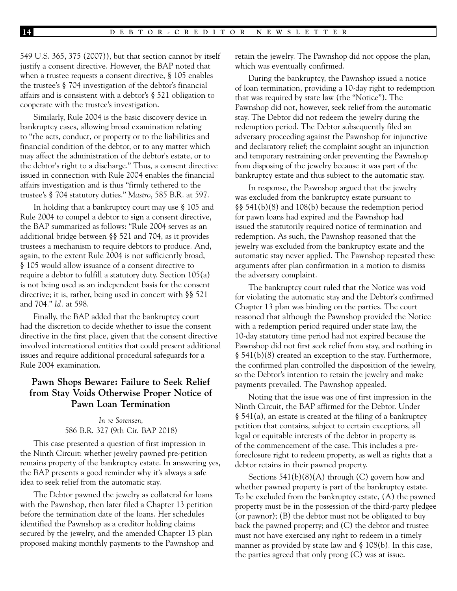549 U.S. 365, 375 (2007)), but that section cannot by itself justify a consent directive. However, the BAP noted that when a trustee requests a consent directive, § 105 enables the trustee's § 704 investigation of the debtor's financial affairs and is consistent with a debtor's § 521 obligation to cooperate with the trustee's investigation.

Similarly, Rule 2004 is the basic discovery device in bankruptcy cases, allowing broad examination relating to "the acts, conduct, or property or to the liabilities and financial condition of the debtor, or to any matter which may affect the administration of the debtor's estate, or to the debtor's right to a discharge." Thus, a consent directive issued in connection with Rule 2004 enables the financial affairs investigation and is thus "firmly tethered to the trustee's § 704 statutory duties." *Mastro*, 585 B.R. at 597.

In holding that a bankruptcy court may use § 105 and Rule 2004 to compel a debtor to sign a consent directive, the BAP summarized as follows: "Rule 2004 serves as an additional bridge between §§ 521 and 704, as it provides trustees a mechanism to require debtors to produce. And, again, to the extent Rule 2004 is not sufficiently broad, § 105 would allow issuance of a consent directive to require a debtor to fulfill a statutory duty. Section 105(a) is not being used as an independent basis for the consent directive; it is, rather, being used in concert with §§ 521 and 704." *Id.* at 598.

Finally, the BAP added that the bankruptcy court had the discretion to decide whether to issue the consent directive in the first place, given that the consent directive involved international entities that could present additional issues and require additional procedural safeguards for a Rule 2004 examination.

## **Pawn Shops Beware: Failure to Seek Relief from Stay Voids Otherwise Proper Notice of Pawn Loan Termination**

*In re Sorensen,* 586 B.R. 327 (9th Cir. BAP 2018)

This case presented a question of first impression in the Ninth Circuit: whether jewelry pawned pre-petition remains property of the bankruptcy estate. In answering yes, the BAP presents a good reminder why it's always a safe idea to seek relief from the automatic stay.

The Debtor pawned the jewelry as collateral for loans with the Pawnshop, then later filed a Chapter 13 petition before the termination date of the loans. Her schedules identified the Pawnshop as a creditor holding claims secured by the jewelry, and the amended Chapter 13 plan proposed making monthly payments to the Pawnshop and retain the jewelry. The Pawnshop did not oppose the plan, which was eventually confirmed.

During the bankruptcy, the Pawnshop issued a notice of loan termination, providing a 10-day right to redemption that was required by state law (the "Notice"). The Pawnshop did not, however, seek relief from the automatic stay. The Debtor did not redeem the jewelry during the redemption period. The Debtor subsequently filed an adversary proceeding against the Pawnshop for injunctive and declaratory relief; the complaint sought an injunction and temporary restraining order preventing the Pawnshop from disposing of the jewelry because it was part of the bankruptcy estate and thus subject to the automatic stay.

In response, the Pawnshop argued that the jewelry was excluded from the bankruptcy estate pursuant to §§ 541(b)(8) and 108(b) because the redemption period for pawn loans had expired and the Pawnshop had issued the statutorily required notice of termination and redemption. As such, the Pawnshop reasoned that the jewelry was excluded from the bankruptcy estate and the automatic stay never applied. The Pawnshop repeated these arguments after plan confirmation in a motion to dismiss the adversary complaint.

The bankruptcy court ruled that the Notice was void for violating the automatic stay and the Debtor's confirmed Chapter 13 plan was binding on the parties. The court reasoned that although the Pawnshop provided the Notice with a redemption period required under state law, the 10-day statutory time period had not expired because the Pawnshop did not first seek relief from stay, and nothing in § 541(b)(8) created an exception to the stay. Furthermore, the confirmed plan controlled the disposition of the jewelry, so the Debtor's intention to retain the jewelry and make payments prevailed. The Pawnshop appealed.

Noting that the issue was one of first impression in the Ninth Circuit, the BAP affirmed for the Debtor. Under § 541(a), an estate is created at the filing of a bankruptcy petition that contains, subject to certain exceptions, all legal or equitable interests of the debtor in property as of the commencement of the case. This includes a preforeclosure right to redeem property, as well as rights that a debtor retains in their pawned property.

Sections 541(b)(8)(A) through (C) govern how and whether pawned property is part of the bankruptcy estate. To be excluded from the bankruptcy estate, (A) the pawned property must be in the possession of the third-party pledgee (or pawnor); (B) the debtor must not be obligated to buy back the pawned property; and (C) the debtor and trustee must not have exercised any right to redeem in a timely manner as provided by state law and § 108(b). In this case, the parties agreed that only prong (C) was at issue.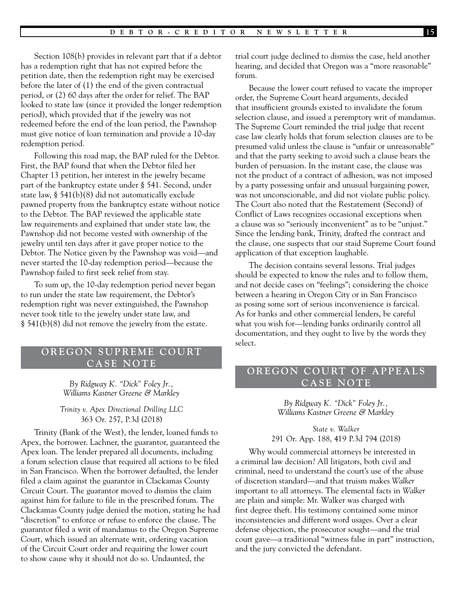<span id="page-14-0"></span>Section 108(b) provides in relevant part that if a debtor has a redemption right that has not expired before the petition date, then the redemption right may be exercised before the later of (1) the end of the given contractual period, or (2) 60 days after the order for relief. The BAP looked to state law (since it provided the longer redemption period), which provided that if the jewelry was not redeemed before the end of the loan period, the Pawnshop must give notice of loan termination and provide a 10-day redemption period.

Following this road map, the BAP ruled for the Debtor. First, the BAP found that when the Debtor filed her Chapter 13 petition, her interest in the jewelry became part of the bankruptcy estate under § 541. Second, under state law, § 541(b)(8) did not automatically exclude pawned property from the bankruptcy estate without notice to the Debtor. The BAP reviewed the applicable state law requirements and explained that under state law, the Pawnshop did not become vested with ownership of the jewelry until ten days after it gave proper notice to the Debtor. The Notice given by the Pawnshop was void—and never started the 10-day redemption period—because the Pawnshop failed to first seek relief from stay.

To sum up, the 10-day redemption period never began to run under the state law requirement, the Debtor's redemption right was never extinguished, the Pawnshop never took title to the jewelry under state law, and § 541(b)(8) did not remove the jewelry from the estate.

### **OREGON SUPREME COURT CASE NOTE**

*By Ridgway K. "Dick" Foley Jr., Williams Kastner Greene & Markley*

#### *Trinity v. Apex Directional Drilling LLC* 363 Or. 257, P.3d (2018)

Trinity (Bank of the West), the lender, loaned funds to Apex, the borrower. Lachner, the guarantor, guaranteed the Apex loan. The lender prepared all documents, including a forum selection clause that required all actions to be filed in San Francisco. When the borrower defaulted, the lender filed a claim against the guarantor in Clackamas County Circuit Court. The guarantor moved to dismiss the claim against him for failure to file in the prescribed forum. The Clackamas County judge denied the motion, stating he had "discretion" to enforce or refuse to enforce the clause. The guarantor filed a writ of mandamus to the Oregon Supreme Court, which issued an alternate writ, ordering vacation of the Circuit Court order and requiring the lower court to show cause why it should not do so. Undaunted, the

trial court judge declined to dismiss the case, held another hearing, and decided that Oregon was a "more reasonable" forum.

Because the lower court refused to vacate the improper order, the Supreme Court heard arguments, decided that insufficient grounds existed to invalidate the forum selection clause, and issued a peremptory writ of mandamus. The Supreme Court reminded the trial judge that recent case law clearly holds that forum selection clauses are to be presumed valid unless the clause is "unfair or unreasonable" and that the party seeking to avoid such a clause bears the burden of persuasion. In the instant case, the clause was not the product of a contract of adhesion, was not imposed by a party possessing unfair and unusual bargaining power, was not unconscionable, and did not violate public policy. The Court also noted that the Restatement (Second) of Conflict of Laws recognizes occasional exceptions when a clause was so "seriously inconvenient" as to be "unjust." Since the lending bank, Trinity, drafted the contract and the clause, one suspects that our staid Supreme Court found application of that exception laughable.

The decision contains several lessons. Trial judges should be expected to know the rules and to follow them, and not decide cases on "feelings"; considering the choice between a hearing in Oregon City or in San Francisco as posing some sort of serious inconvenience is farcical. As for banks and other commercial lenders, be careful what you wish for—lending banks ordinarily control all documentation, and they ought to live by the words they select.

## **OREGON COURT OF APPEALS CASE NOTE**

*By Ridgway K. "Dick" Foley Jr., Williams Kastner Greene & Markley* 

*State v. Walker* 291 Or. App. 188, 419 P.3d 794 (2018)

Why would commercial attorneys be interested in a criminal law decision? All litigators, both civil and criminal, need to understand the court's use of the abuse of discretion standard—and that truism makes *Walker* important to all attorneys. The elemental facts in *Walker* are plain and simple: Mr. Walker was charged with first degree theft. His testimony contained some minor inconsistencies and different word usages. Over a clear defense objection, the prosecutor sought—and the trial court gave—a traditional "witness false in part" instruction, and the jury convicted the defendant.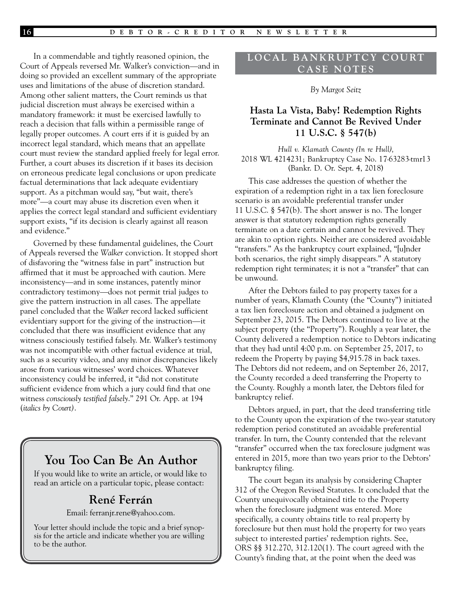<span id="page-15-0"></span>In a commendable and tightly reasoned opinion, the Court of Appeals reversed Mr. Walker's conviction—and in doing so provided an excellent summary of the appropriate uses and limitations of the abuse of discretion standard. Among other salient matters, the Court reminds us that judicial discretion must always be exercised within a mandatory framework: it must be exercised lawfully to reach a decision that falls within a permissible range of legally proper outcomes. A court errs if it is guided by an incorrect legal standard, which means that an appellate court must review the standard applied freely for legal error. Further, a court abuses its discretion if it bases its decision on erroneous predicate legal conclusions or upon predicate factual determinations that lack adequate evidentiary support. As a pitchman would say, "but wait, there's more"—a court may abuse its discretion even when it applies the correct legal standard and sufficient evidentiary support exists, "if its decision is clearly against all reason and evidence."

Governed by these fundamental guidelines, the Court of Appeals reversed the *Walker* conviction. It stopped short of disfavoring the "witness false in part" instruction but affirmed that it must be approached with caution. Mere inconsistency—and in some instances, patently minor contradictory testimony—does not permit trial judges to give the pattern instruction in all cases. The appellate panel concluded that the *Walker* record lacked sufficient evidentiary support for the giving of the instruction—it concluded that there was insufficient evidence that any witness consciously testified falsely. Mr. Walker's testimony was not incompatible with other factual evidence at trial, such as a security video, and any minor discrepancies likely arose from various witnesses' word choices. Whatever inconsistency could be inferred, it "did not constitute sufficient evidence from which a jury could find that one witness *consciously testified falsely*." 291 Or. App. at 194 (*italics by Court)*.

# **You Too Can Be An Author**

If you would like to write an article, or would like to read an article on a particular topic, please contact:

# **René Ferrán**

Email: ferranjr.rene@yahoo.com.

Your letter should include the topic and a brief synopsis for the article and indicate whether you are willing to be the author.

## **L O C A L B A N K R U P T C Y C O U RT**  CASE NOTES

*By Margot Seitz*

## **Hasta La Vista, Baby! Redemption Rights Terminate and Cannot Be Revived Under 11 U.S.C. § 547(b)**

*Hull v. Klamath County (In re Hull),*  2018 WL 4214231; Bankruptcy Case No. 17-63283-tmr13 (Bankr. D. Or. Sept. 4, 2018)

This case addresses the question of whether the expiration of a redemption right in a tax lien foreclosure scenario is an avoidable preferential transfer under 11 U.S.C. § 547(b). The short answer is no. The longer answer is that statutory redemption rights generally terminate on a date certain and cannot be revived. They are akin to option rights. Neither are considered avoidable "transfers." As the bankruptcy court explained, "[u]nder both scenarios, the right simply disappears." A statutory redemption right terminates; it is not a "transfer" that can be unwound.

After the Debtors failed to pay property taxes for a number of years, Klamath County (the "County") initiated a tax lien foreclosure action and obtained a judgment on September 23, 2015. The Debtors continued to live at the subject property (the "Property"). Roughly a year later, the County delivered a redemption notice to Debtors indicating that they had until 4:00 p.m. on September 25, 2017, to redeem the Property by paying \$4,915.78 in back taxes. The Debtors did not redeem, and on September 26, 2017, the County recorded a deed transferring the Property to the County. Roughly a month later, the Debtors filed for bankruptcy relief.

Debtors argued, in part, that the deed transferring title to the County upon the expiration of the two-year statutory redemption period constituted an avoidable preferential transfer. In turn, the County contended that the relevant "transfer" occurred when the tax foreclosure judgment was entered in 2015, more than two years prior to the Debtors' bankruptcy filing.

The court began its analysis by considering Chapter 312 of the Oregon Revised Statutes. It concluded that the County unequivocally obtained title to the Property when the foreclosure judgment was entered. More specifically, a county obtains title to real property by foreclosure but then must hold the property for two years subject to interested parties' redemption rights. See, ORS §§ 312.270, 312.120(1). The court agreed with the County's finding that, at the point when the deed was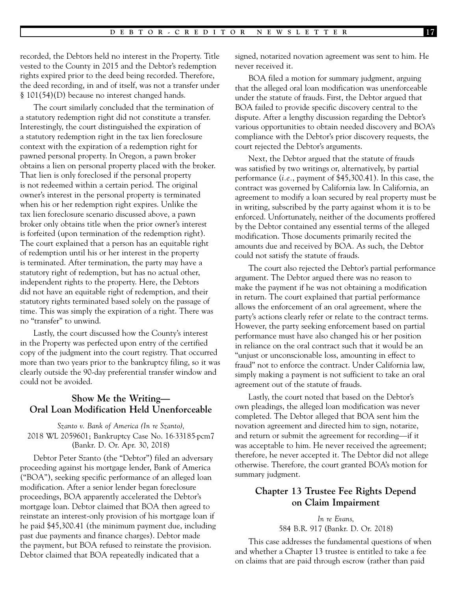recorded, the Debtors held no interest in the Property. Title vested to the County in 2015 and the Debtor's redemption rights expired prior to the deed being recorded. Therefore, the deed recording, in and of itself, was not a transfer under § 101(54)(D) because no interest changed hands.

The court similarly concluded that the termination of a statutory redemption right did not constitute a transfer. Interestingly, the court distinguished the expiration of a statutory redemption right in the tax lien foreclosure context with the expiration of a redemption right for pawned personal property. In Oregon, a pawn broker obtains a lien on personal property placed with the broker. That lien is only foreclosed if the personal property is not redeemed within a certain period. The original owner's interest in the personal property is terminated when his or her redemption right expires. Unlike the tax lien foreclosure scenario discussed above, a pawn broker only obtains title when the prior owner's interest is forfeited (upon termination of the redemption right). The court explained that a person has an equitable right of redemption until his or her interest in the property is terminated. After termination, the party may have a statutory right of redemption, but has no actual other, independent rights to the property. Here, the Debtors did not have an equitable right of redemption, and their statutory rights terminated based solely on the passage of time. This was simply the expiration of a right. There was no "transfer" to unwind.

Lastly, the court discussed how the County's interest in the Property was perfected upon entry of the certified copy of the judgment into the court registry. That occurred more than two years prior to the bankruptcy filing, so it was clearly outside the 90-day preferential transfer window and could not be avoided.

### **Show Me the Writing— Oral Loan Modification Held Unenforceable**

#### *Szanto v. Bank of America (In re Szanto),*  2018 WL 2059601; Bankruptcy Case No. 16-33185-pcm7 (Bankr. D. Or. Apr. 30, 2018)

Debtor Peter Szanto (the "Debtor") filed an adversary proceeding against his mortgage lender, Bank of America ("BOA"), seeking specific performance of an alleged loan modification. After a senior lender began foreclosure proceedings, BOA apparently accelerated the Debtor's mortgage loan. Debtor claimed that BOA then agreed to reinstate an interest-only provision of his mortgage loan if he paid \$45,300.41 (the minimum payment due, including past due payments and finance charges). Debtor made the payment, but BOA refused to reinstate the provision. Debtor claimed that BOA repeatedly indicated that a

signed, notarized novation agreement was sent to him. He never received it.

BOA filed a motion for summary judgment, arguing that the alleged oral loan modification was unenforceable under the statute of frauds. First, the Debtor argued that BOA failed to provide specific discovery central to the dispute. After a lengthy discussion regarding the Debtor's various opportunities to obtain needed discovery and BOA's compliance with the Debtor's prior discovery requests, the court rejected the Debtor's arguments.

Next, the Debtor argued that the statute of frauds was satisfied by two writings or, alternatively, by partial performance (*i.e.*, payment of \$45,300.41). In this case, the contract was governed by California law. In California, an agreement to modify a loan secured by real property must be in writing, subscribed by the party against whom it is to be enforced. Unfortunately, neither of the documents proffered by the Debtor contained any essential terms of the alleged modification. Those documents primarily recited the amounts due and received by BOA. As such, the Debtor could not satisfy the statute of frauds.

The court also rejected the Debtor's partial performance argument. The Debtor argued there was no reason to make the payment if he was not obtaining a modification in return. The court explained that partial performance allows the enforcement of an oral agreement, where the party's actions clearly refer or relate to the contract terms. However, the party seeking enforcement based on partial performance must have also changed his or her position in reliance on the oral contract such that it would be an "unjust or unconscionable loss, amounting in effect to fraud" not to enforce the contract. Under California law, simply making a payment is not sufficient to take an oral agreement out of the statute of frauds.

Lastly, the court noted that based on the Debtor's own pleadings, the alleged loan modification was never completed. The Debtor alleged that BOA sent him the novation agreement and directed him to sign, notarize, and return or submit the agreement for recording—if it was acceptable to him. He never received the agreement; therefore, he never accepted it. The Debtor did not allege otherwise. Therefore, the court granted BOA's motion for summary judgment.

### **Chapter 13 Trustee Fee Rights Depend on Claim Impairment**

*In re Evans,* 584 B.R. 917 (Bankr. D. Or. 2018)

This case addresses the fundamental questions of when and whether a Chapter 13 trustee is entitled to take a fee on claims that are paid through escrow (rather than paid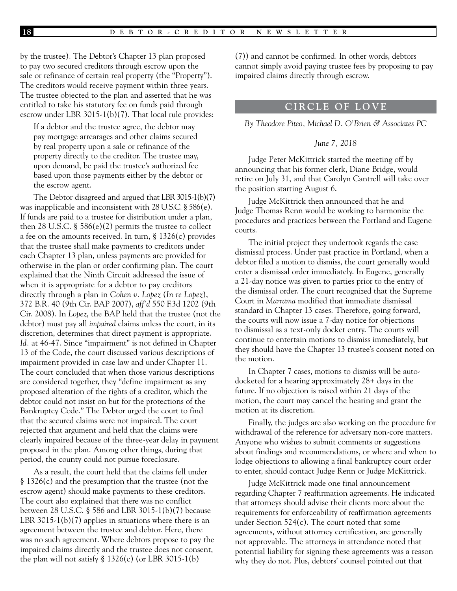<span id="page-17-0"></span>by the trustee). The Debtor's Chapter 13 plan proposed to pay two secured creditors through escrow upon the sale or refinance of certain real property (the "Property"). The creditors would receive payment within three years. The trustee objected to the plan and asserted that he was entitled to take his statutory fee on funds paid through escrow under LBR 3015-1(b)(7). That local rule provides:

If a debtor and the trustee agree, the debtor may pay mortgage arrearages and other claims secured by real property upon a sale or refinance of the property directly to the creditor. The trustee may, upon demand, be paid the trustee's authorized fee based upon those payments either by the debtor or the escrow agent.

The Debtor disagreed and argued that LBR 3015-1(b)(7) was inapplicable and inconsistent with 28 U.S.C. § 586(e). If funds are paid to a trustee for distribution under a plan, then 28 U.S.C.  $\S$  586(e)(2) permits the trustee to collect a fee on the amounts received. In turn, § 1326(c) provides that the trustee shall make payments to creditors under each Chapter 13 plan, unless payments are provided for otherwise in the plan or order confirming plan. The court explained that the Ninth Circuit addressed the issue of when it is appropriate for a debtor to pay creditors directly through a plan in *Cohen v. Lopez* (*In re Lopez*), 372 B.R. 40 (9th Cir. BAP 2007), *aff'd* 550 F.3d 1202 (9th Cir. 2008). In *Lopez*, the BAP held that the trustee (not the debtor) must pay all *impaired* claims unless the court, in its discretion, determines that direct payment is appropriate. *Id.* at 46-47. Since "impairment" is not defined in Chapter 13 of the Code, the court discussed various descriptions of impairment provided in case law and under Chapter 11. The court concluded that when those various descriptions are considered together, they "define impairment as any proposed alteration of the rights of a creditor, which the debtor could not insist on but for the protections of the Bankruptcy Code." The Debtor urged the court to find that the secured claims were not impaired. The court rejected that argument and held that the claims were clearly impaired because of the three-year delay in payment proposed in the plan. Among other things, during that period, the county could not pursue foreclosure.

As a result, the court held that the claims fell under § 1326(c) and the presumption that the trustee (not the escrow agent) should make payments to these creditors. The court also explained that there was no conflict between 28 U.S.C. § 586 and LBR 3015-1(b)(7) because LBR 3015-1(b)(7) applies in situations where there is an agreement between the trustee and debtor. Here, there was no such agreement. Where debtors propose to pay the impaired claims directly and the trustee does not consent, the plan will not satisfy  $\S 1326(c)$  (or LBR 3015-1(b)

(7)) and cannot be confirmed. In other words, debtors cannot simply avoid paying trustee fees by proposing to pay impaired claims directly through escrow.

### **CIRCLE OF LOVE**

*By Theodore Piteo, Michael D. O'Brien & Associates PC*

#### *June 7, 2018*

Judge Peter McKittrick started the meeting off by announcing that his former clerk, Diane Bridge, would retire on July 31, and that Carolyn Cantrell will take over the position starting August 6.

Judge McKittrick then announced that he and Judge Thomas Renn would be working to harmonize the procedures and practices between the Portland and Eugene courts.

The initial project they undertook regards the case dismissal process. Under past practice in Portland, when a debtor filed a motion to dismiss, the court generally would enter a dismissal order immediately. In Eugene, generally a 21-day notice was given to parties prior to the entry of the dismissal order. The court recognized that the Supreme Court in *Marrama* modified that immediate dismissal standard in Chapter 13 cases. Therefore, going forward, the courts will now issue a 7-day notice for objections to dismissal as a text-only docket entry. The courts will continue to entertain motions to dismiss immediately, but they should have the Chapter 13 trustee's consent noted on the motion.

In Chapter 7 cases, motions to dismiss will be autodocketed for a hearing approximately 28+ days in the future. If no objection is raised within 21 days of the motion, the court may cancel the hearing and grant the motion at its discretion.

Finally, the judges are also working on the procedure for withdrawal of the reference for adversary non-core matters. Anyone who wishes to submit comments or suggestions about findings and recommendations, or where and when to lodge objections to allowing a final bankruptcy court order to enter, should contact Judge Renn or Judge McKittrick.

Judge McKittrick made one final announcement regarding Chapter 7 reaffirmation agreements. He indicated that attorneys should advise their clients more about the requirements for enforceability of reaffirmation agreements under Section 524(c). The court noted that some agreements, without attorney certification, are generally not approvable. The attorneys in attendance noted that potential liability for signing these agreements was a reason why they do not. Plus, debtors' counsel pointed out that